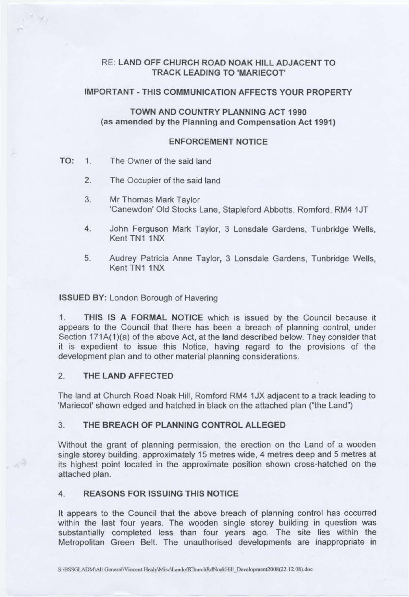# RE: **LAND OFF CHURCH ROAD NOAK HILL ADJACENT TO TRACK LEADING TO 'MARIECOT'**

## **IMPORTANT** - **THIS COMMUNICATION AFFECTS YOUR PROPERTY**

# **TOWN AND COUNTRY PLANNING ACT 1990 (as amended by the Planning and Compensation Act 1991)**

#### **ENFORCEMENT NOTICE**

## TO: 1. The Owner of the said land

 $r^{-1}$  My

 $\sigma^{\frac{N}{2}}$ 

- 2. The Occupier of the said land
- 3. Mr Thomas Mark Taylor 'Canewdon' Old Stocks Lane, Stapleford Abbotts, Romford, RM4 1JT
- 4. John Ferguson Mark Taylor, 3 Lonsdale Gardens, Tunbridge Wells, Kent TN1 1NX
- 5. Audrey Patricia Anne Taylor, 3 Lonsdale Gardens, Tunbridge Wells, Kent TN1 1NX

#### **ISSUED BY:** London Borough of Havering

1. **THIS IS A FORMAL NOTICE** which is issued by the Council because it appears to the Council that there has been a breach of planning control, under Section 171A(1)(a) of the above Act, at the land described below. They consider that it is expedient to issue this Notice, having regard to the provisions of the development plan and to other material planning considerations.

# 2. **THE LAND AFFECTED**

The land at Church Road Noak Hill, Romford RM4 1 JX adjacent to a track leading to 'Mariecot' shown edged and hatched in black on the attached plan ("the Land")

#### 3. THE BREACH OF **PLANNING** CONTROL ALLEGED

Without the grant of planning permission, the erection on the Land of a wooden single storey building, approximately 15 metres wide, 4 metres deep and 5 metres at its highest point located in the approximate position shown cross-hatched on the attached plan.

# **4. REASONS FOR ISSUING THIS NOTICE**

It appears to the Council that the above breach of planning control has occurred within the last four years. The wooden single storey building in question was substantially completed less than four years ago. The site lies within the Metropolitan Green Belt. The unauthorised developments are inappropriate in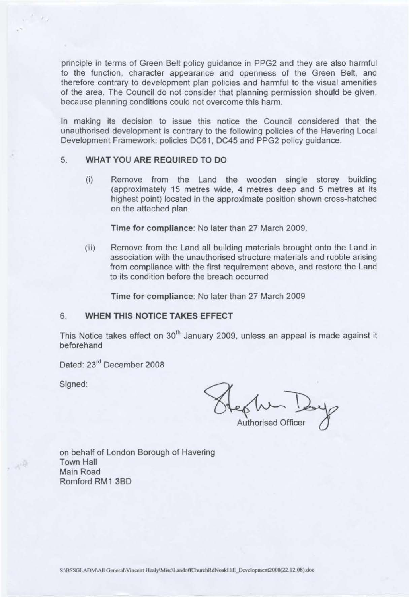principle in terms of Green Belt policy guidance in PPG2 and they are also harmful to the function, character appearance and openness of the Green Belt, and therefore contrary to development plan policies and harmful to the visual amenities of the area. The Council do not consider that planning permission should be given, because planning conditions could not overcome this harm.

In making its decision to issue this notice the Council considered that the unauthorised development is contrary to the following policies of the Havering Local Development Framework: policies DC61 , DC45 and PPG2 policy guidance.

## 5. **WHAT YOU ARE REQUIRED TO DO**

(i) Remove from the Land the wooden single storey building (approximately 15 metres wide, 4 metres deep and 5 metres at its highest point) located in the approximate position shown cross-hatched on the attached plan.

Time for compliance: No later than 27 March 2009.

(ii) Remove from the Land all building materials brought onto the Land in association with the unauthorised structure materials and rubble arising from compliance with the first requirement above, and restore the Land to its condition before the breach occurred

Time for compliance: No later than 27 March 2009

#### 6. **WHEN THIS NOTICE TAKES EFFECT**

This Notice takes effect on 30<sup>th</sup> January 2009, unless an appeal is made against it beforehand

Dated: 23<sup>rd</sup> December 2008

Signed:

 $\mathcal{A}^{\mathfrak{F}}$ 

Authorised Officer

on behalf of London Borough of Havering Town Hall Main Road Romford RM1 3BD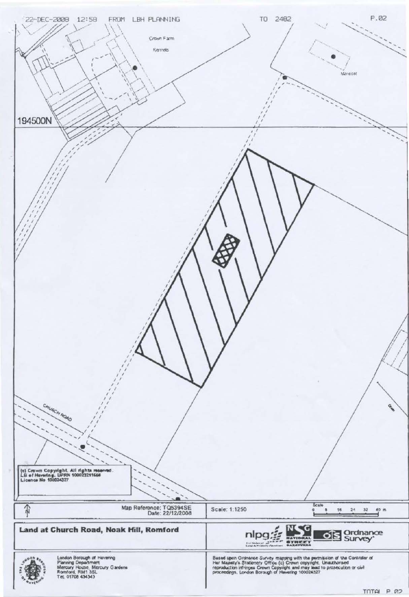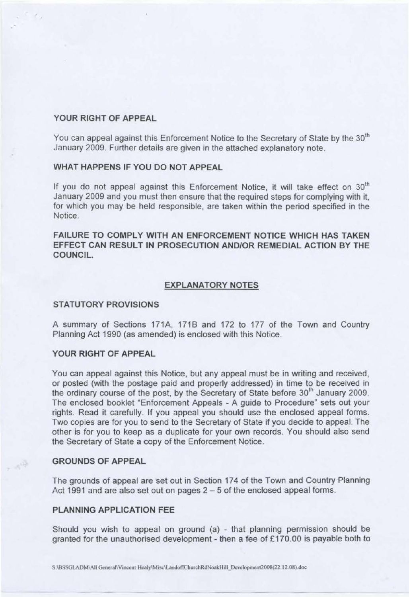#### **YOUR RIGHT OF APPEAL**

You can appeal against this Enforcement Notice to the Secretary of State by the 30<sup>th</sup> January 2009. Further details are given in the attached explanatory note.

# **WHAT HAPPENS IF YOU DO NOT APPEAL**

If you do not appeal against this Enforcement Notice, it will take effect on  $30<sup>th</sup>$ January 2009 and you must then ensure that the required steps for complying with it, for which you may be held responsible, are taken within the period specified in the Notice.

**FAILURE TO COMPLY WITH AN ENFORCEMENT NOTICE WHICH HAS TAKEN EFFECT CAN RESULT IN PROSECUTION ANO/OR REMEDIAL ACTION BY THE COUNCIL.** 

#### **EXPLANATORY NOTES**

#### **STATUTORY PROVISIONS**

A summary of Sections 171A, 171B and 172 to 177 of the Town and Country Planning Act 1990 (as amended) is enclosed with this Notice.

#### **YOUR RIGHT OF APPEAL**

You can appeal against this Notice, but any appeal must be in writing and received, or posted (with the postage paid and property addressed) in time to be received in the ordinary course of the post, by the Secretary of State before 30<sup>th</sup> January 2009. The enclosed booklet "Enforcement Appeals - A guide to Procedure" sets out your rights. Read it carefully. If you appeal you should use the enclosed appeal forms. Two copies are for you to send to the Secretary of State if you decide to appeal. The other is for you to keep as a duplicate for your own records. You should also send the Secretary of State a copy of the Enforcement Notice.

## **GROUNDS OF APPEAL**

 $\sim e^{i\frac{\pi}{2}}$ 

The grounds of appeal are set out in Section 174 of the Town and Country Planning Act 1991 and are also set out on pages 2 – 5 of the enclosed appeal forms.

#### **PLANNING APPLICATION** FEE

Should you wish to appeal on ground (a) - that planning permission should be granted for the unauthorised development - then a fee of £170.00 is payable both to